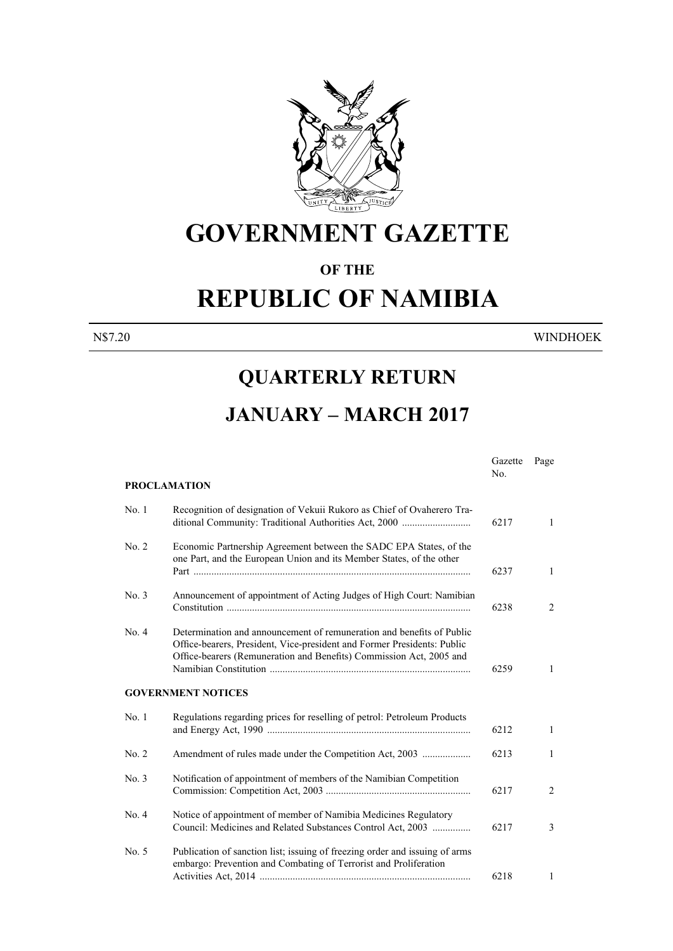

# **GOVERNMENT GAZETTE**

#### **OF THE**

## **REPUBLIC OF NAMIBIA**

N\$7.20 WINDHOEK

#### **QUARTERLY RETURN**

### **JANUARY – MARCH 2017**

|       | <b>PROCLAMATION</b>                                                                                                                                                                                                     | Gazette<br>No. | Page           |
|-------|-------------------------------------------------------------------------------------------------------------------------------------------------------------------------------------------------------------------------|----------------|----------------|
|       |                                                                                                                                                                                                                         |                |                |
| No. 1 | Recognition of designation of Vekuii Rukoro as Chief of Ovaherero Tra-<br>ditional Community: Traditional Authorities Act, 2000                                                                                         | 6217           | $\mathbf{1}$   |
| No. 2 | Economic Partnership Agreement between the SADC EPA States, of the<br>one Part, and the European Union and its Member States, of the other                                                                              | 6237           | 1              |
|       |                                                                                                                                                                                                                         |                |                |
| No. 3 | Announcement of appointment of Acting Judges of High Court: Namibian                                                                                                                                                    | 6238           | 2              |
| No. 4 | Determination and announcement of remuneration and benefits of Public<br>Office-bearers, President, Vice-president and Former Presidents: Public<br>Office-bearers (Remuneration and Benefits) Commission Act, 2005 and | 6259           | $\mathbf{1}$   |
|       | <b>GOVERNMENT NOTICES</b>                                                                                                                                                                                               |                |                |
| No.1  | Regulations regarding prices for reselling of petrol: Petroleum Products                                                                                                                                                | 6212           | $\mathbf{1}$   |
| No. 2 |                                                                                                                                                                                                                         | 6213           | 1              |
| No. 3 | Notification of appointment of members of the Namibian Competition                                                                                                                                                      | 6217           | 2              |
| No. 4 | Notice of appointment of member of Namibia Medicines Regulatory<br>Council: Medicines and Related Substances Control Act, 2003                                                                                          | 6217           | $\mathfrak{Z}$ |
| No. 5 | Publication of sanction list; issuing of freezing order and issuing of arms<br>embargo: Prevention and Combating of Terrorist and Proliferation                                                                         | 6218           | 1              |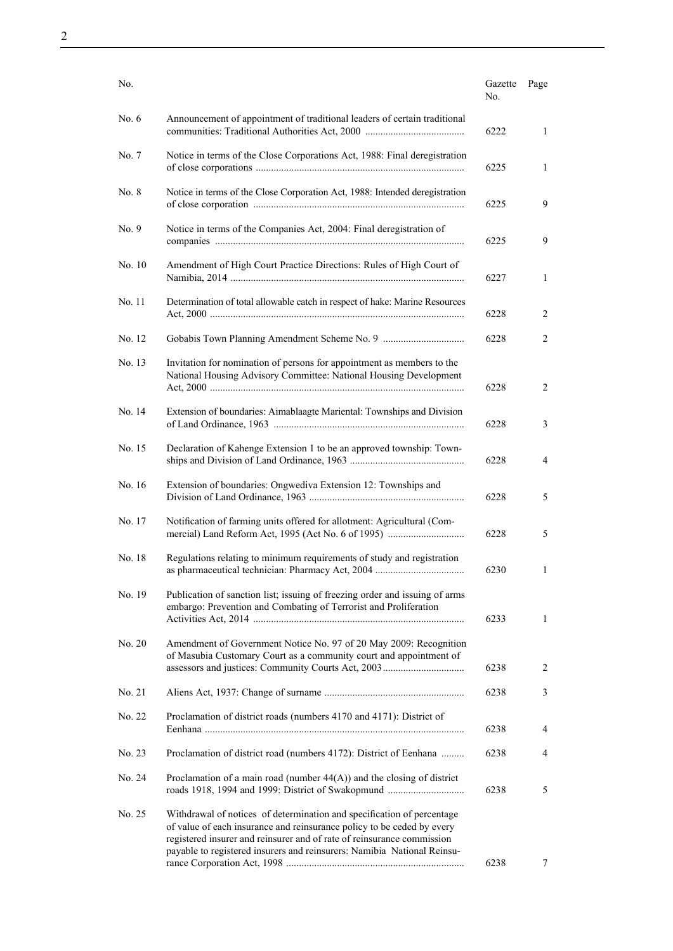| No.     |                                                                                                                                                                                                                                                                                                       | Gazette<br>No. | Page         |
|---------|-------------------------------------------------------------------------------------------------------------------------------------------------------------------------------------------------------------------------------------------------------------------------------------------------------|----------------|--------------|
| No. $6$ | Announcement of appointment of traditional leaders of certain traditional                                                                                                                                                                                                                             | 6222           | 1            |
| No. 7   | Notice in terms of the Close Corporations Act, 1988: Final deregistration                                                                                                                                                                                                                             | 6225           | 1            |
| No. 8   | Notice in terms of the Close Corporation Act, 1988: Intended deregistration                                                                                                                                                                                                                           | 6225           | 9            |
| No. 9   | Notice in terms of the Companies Act, 2004: Final deregistration of                                                                                                                                                                                                                                   | 6225           | 9            |
| No. 10  | Amendment of High Court Practice Directions: Rules of High Court of                                                                                                                                                                                                                                   | 6227           | 1            |
| No. 11  | Determination of total allowable catch in respect of hake: Marine Resources                                                                                                                                                                                                                           | 6228           | 2            |
| No. 12  |                                                                                                                                                                                                                                                                                                       | 6228           | 2            |
| No. 13  | Invitation for nomination of persons for appointment as members to the<br>National Housing Advisory Committee: National Housing Development                                                                                                                                                           | 6228           | 2            |
| No. 14  | Extension of boundaries: Aimablaagte Mariental: Townships and Division                                                                                                                                                                                                                                | 6228           | 3            |
| No. 15  | Declaration of Kahenge Extension 1 to be an approved township: Town-                                                                                                                                                                                                                                  | 6228           | 4            |
| No. 16  | Extension of boundaries: Ongwediva Extension 12: Townships and                                                                                                                                                                                                                                        | 6228           | 5            |
| No. 17  | Notification of farming units offered for allotment: Agricultural (Com-                                                                                                                                                                                                                               | 6228           | 5            |
| No. 18  | Regulations relating to minimum requirements of study and registration                                                                                                                                                                                                                                | 6230           | 1            |
| No. 19  | Publication of sanction list; issuing of freezing order and issuing of arms<br>embargo: Prevention and Combating of Terrorist and Proliferation                                                                                                                                                       | 6233           | $\mathbf{1}$ |
| No. 20  | Amendment of Government Notice No. 97 of 20 May 2009: Recognition<br>of Masubia Customary Court as a community court and appointment of                                                                                                                                                               | 6238           | 2            |
| No. 21  |                                                                                                                                                                                                                                                                                                       | 6238           | 3            |
| No. 22  | Proclamation of district roads (numbers 4170 and 4171): District of                                                                                                                                                                                                                                   |                |              |
|         |                                                                                                                                                                                                                                                                                                       | 6238           | 4            |
| No. 23  | Proclamation of district road (numbers 4172): District of Eenhana                                                                                                                                                                                                                                     | 6238           | 4            |
| No. 24  | Proclamation of a main road (number $44(A)$ ) and the closing of district<br>roads 1918, 1994 and 1999: District of Swakopmund                                                                                                                                                                        | 6238           | 5            |
| No. 25  | Withdrawal of notices of determination and specification of percentage<br>of value of each insurance and reinsurance policy to be ceded by every<br>registered insurer and reinsurer and of rate of reinsurance commission<br>payable to registered insurers and reinsurers: Namibia National Reinsu- | 6238           | 7            |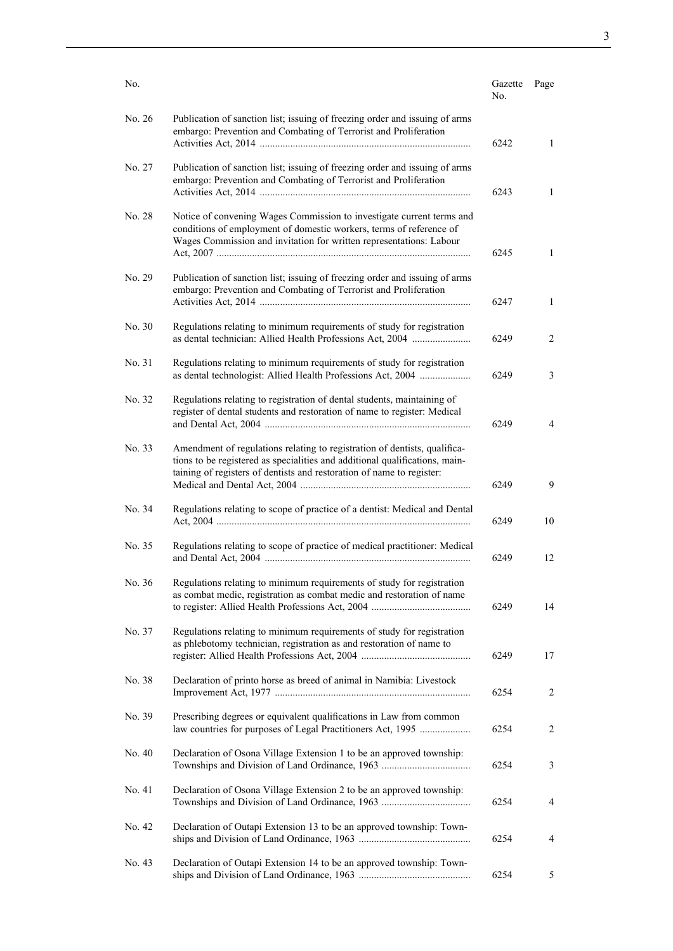| No.    |                                                                                                                                                                                                                                   | Gazette<br>No. | Page           |
|--------|-----------------------------------------------------------------------------------------------------------------------------------------------------------------------------------------------------------------------------------|----------------|----------------|
| No. 26 | Publication of sanction list; issuing of freezing order and issuing of arms<br>embargo: Prevention and Combating of Terrorist and Proliferation                                                                                   | 6242           | 1              |
| No. 27 | Publication of sanction list; issuing of freezing order and issuing of arms<br>embargo: Prevention and Combating of Terrorist and Proliferation                                                                                   | 6243           | 1              |
| No. 28 | Notice of convening Wages Commission to investigate current terms and<br>conditions of employment of domestic workers, terms of reference of<br>Wages Commission and invitation for written representations: Labour               | 6245           | 1              |
| No. 29 | Publication of sanction list; issuing of freezing order and issuing of arms<br>embargo: Prevention and Combating of Terrorist and Proliferation                                                                                   | 6247           | 1              |
| No. 30 | Regulations relating to minimum requirements of study for registration<br>as dental technician: Allied Health Professions Act, 2004                                                                                               | 6249           | 2              |
| No. 31 | Regulations relating to minimum requirements of study for registration<br>as dental technologist: Allied Health Professions Act, 2004                                                                                             | 6249           | 3              |
| No. 32 | Regulations relating to registration of dental students, maintaining of<br>register of dental students and restoration of name to register: Medical                                                                               | 6249           | 4              |
| No. 33 | Amendment of regulations relating to registration of dentists, qualifica-<br>tions to be registered as specialities and additional qualifications, main-<br>taining of registers of dentists and restoration of name to register: | 6249           | 9              |
| No. 34 | Regulations relating to scope of practice of a dentist: Medical and Dental                                                                                                                                                        | 6249           | 10             |
| No. 35 | Regulations relating to scope of practice of medical practitioner: Medical                                                                                                                                                        | 6249           | 12             |
| No. 36 | Regulations relating to minimum requirements of study for registration<br>as combat medic, registration as combat medic and restoration of name                                                                                   | 6249           | 14             |
| No. 37 | Regulations relating to minimum requirements of study for registration<br>as phlebotomy technician, registration as and restoration of name to                                                                                    | 6249           | 17             |
| No. 38 | Declaration of printo horse as breed of animal in Namibia: Livestock                                                                                                                                                              | 6254           | $\overline{2}$ |
| No. 39 | Prescribing degrees or equivalent qualifications in Law from common<br>law countries for purposes of Legal Practitioners Act, 1995                                                                                                | 6254           | 2              |
| No. 40 | Declaration of Osona Village Extension 1 to be an approved township:                                                                                                                                                              | 6254           | 3              |
| No. 41 | Declaration of Osona Village Extension 2 to be an approved township:                                                                                                                                                              | 6254           | 4              |
| No. 42 | Declaration of Outapi Extension 13 to be an approved township: Town-                                                                                                                                                              | 6254           | 4              |
| No. 43 | Declaration of Outapi Extension 14 to be an approved township: Town-                                                                                                                                                              | 6254           | 5              |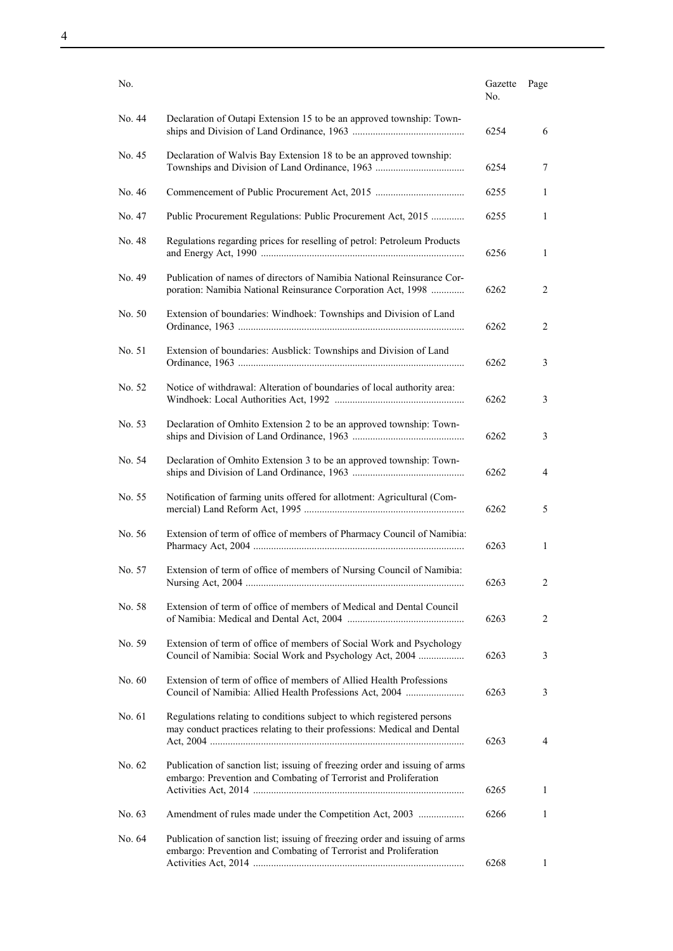| No.    |                                                                                                                                                   | Gazette<br>No. | Page |
|--------|---------------------------------------------------------------------------------------------------------------------------------------------------|----------------|------|
| No. 44 | Declaration of Outapi Extension 15 to be an approved township: Town-                                                                              | 6254           | 6    |
| No. 45 | Declaration of Walvis Bay Extension 18 to be an approved township:                                                                                | 6254           | 7    |
| No. 46 |                                                                                                                                                   | 6255           | 1    |
| No. 47 | Public Procurement Regulations: Public Procurement Act, 2015                                                                                      | 6255           | 1    |
| No. 48 | Regulations regarding prices for reselling of petrol: Petroleum Products                                                                          | 6256           | 1    |
| No. 49 | Publication of names of directors of Namibia National Reinsurance Cor-<br>poration: Namibia National Reinsurance Corporation Act, 1998            | 6262           | 2    |
| No. 50 | Extension of boundaries: Windhoek: Townships and Division of Land                                                                                 | 6262           | 2    |
| No. 51 | Extension of boundaries: Ausblick: Townships and Division of Land                                                                                 | 6262           | 3    |
| No. 52 | Notice of withdrawal: Alteration of boundaries of local authority area:                                                                           | 6262           | 3    |
| No. 53 | Declaration of Omhito Extension 2 to be an approved township: Town-                                                                               | 6262           | 3    |
| No. 54 | Declaration of Omhito Extension 3 to be an approved township: Town-                                                                               | 6262           | 4    |
| No. 55 | Notification of farming units offered for allotment: Agricultural (Com-                                                                           | 6262           | 5    |
| No. 56 | Extension of term of office of members of Pharmacy Council of Namibia:                                                                            | 6263           | 1    |
| No. 57 | Extension of term of office of members of Nursing Council of Namibia:                                                                             | 6263           | 2    |
| No. 58 | Extension of term of office of members of Medical and Dental Council                                                                              | 6263           | 2    |
| No. 59 | Extension of term of office of members of Social Work and Psychology<br>Council of Namibia: Social Work and Psychology Act, 2004                  | 6263           | 3    |
| No. 60 | Extension of term of office of members of Allied Health Professions<br>Council of Namibia: Allied Health Professions Act, 2004                    | 6263           | 3    |
| No. 61 | Regulations relating to conditions subject to which registered persons<br>may conduct practices relating to their professions: Medical and Dental | 6263           | 4    |
| No. 62 | Publication of sanction list; issuing of freezing order and issuing of arms<br>embargo: Prevention and Combating of Terrorist and Proliferation   | 6265           | 1    |
| No. 63 | Amendment of rules made under the Competition Act, 2003                                                                                           | 6266           | 1    |
| No. 64 | Publication of sanction list; issuing of freezing order and issuing of arms                                                                       |                |      |
|        | embargo: Prevention and Combating of Terrorist and Proliferation                                                                                  | 6268           | 1    |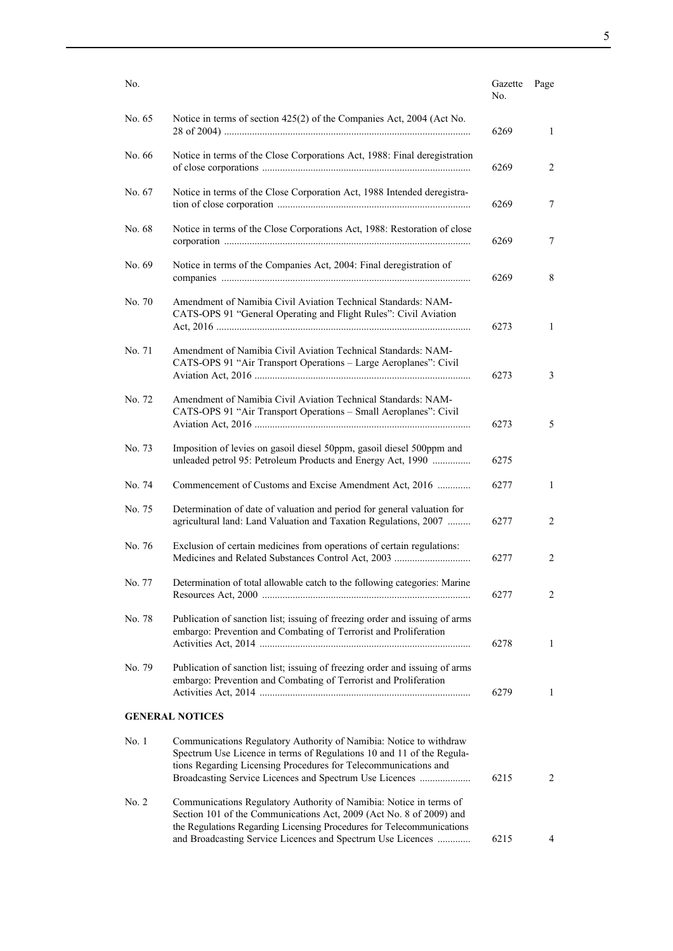| No.    |                                                                                                                                                                                                                                                                           | Gazette<br>No. | Page           |
|--------|---------------------------------------------------------------------------------------------------------------------------------------------------------------------------------------------------------------------------------------------------------------------------|----------------|----------------|
| No. 65 | Notice in terms of section 425(2) of the Companies Act, 2004 (Act No.                                                                                                                                                                                                     | 6269           | 1              |
| No. 66 | Notice in terms of the Close Corporations Act, 1988: Final deregistration                                                                                                                                                                                                 | 6269           | 2              |
| No. 67 | Notice in terms of the Close Corporation Act, 1988 Intended deregistra-                                                                                                                                                                                                   | 6269           | 7              |
| No. 68 | Notice in terms of the Close Corporations Act, 1988: Restoration of close                                                                                                                                                                                                 | 6269           | 7              |
| No. 69 | Notice in terms of the Companies Act, 2004: Final deregistration of                                                                                                                                                                                                       | 6269           | 8              |
| No. 70 | Amendment of Namibia Civil Aviation Technical Standards: NAM-<br>CATS-OPS 91 "General Operating and Flight Rules": Civil Aviation                                                                                                                                         | 6273           | $\mathbf{1}$   |
| No. 71 | Amendment of Namibia Civil Aviation Technical Standards: NAM-<br>CATS-OPS 91 "Air Transport Operations - Large Aeroplanes": Civil                                                                                                                                         | 6273           | 3              |
| No. 72 | Amendment of Namibia Civil Aviation Technical Standards: NAM-<br>CATS-OPS 91 "Air Transport Operations - Small Aeroplanes": Civil                                                                                                                                         | 6273           | 5              |
| No. 73 | Imposition of levies on gasoil diesel 50ppm, gasoil diesel 500ppm and<br>unleaded petrol 95: Petroleum Products and Energy Act, 1990                                                                                                                                      | 6275           |                |
| No. 74 | Commencement of Customs and Excise Amendment Act, 2016                                                                                                                                                                                                                    | 6277           | 1              |
| No. 75 | Determination of date of valuation and period for general valuation for<br>agricultural land: Land Valuation and Taxation Regulations, 2007                                                                                                                               | 6277           | 2              |
| No. 76 | Exclusion of certain medicines from operations of certain regulations:                                                                                                                                                                                                    | 6277           | 2              |
| No. 77 | Determination of total allowable catch to the following categories: Marine                                                                                                                                                                                                | 6277           | 2              |
| No. 78 | Publication of sanction list; issuing of freezing order and issuing of arms<br>embargo: Prevention and Combating of Terrorist and Proliferation                                                                                                                           | 6278           | 1              |
| No. 79 | Publication of sanction list; issuing of freezing order and issuing of arms<br>embargo: Prevention and Combating of Terrorist and Proliferation                                                                                                                           | 6279           | $\mathbf{1}$   |
|        | <b>GENERAL NOTICES</b>                                                                                                                                                                                                                                                    |                |                |
| No.1   | Communications Regulatory Authority of Namibia: Notice to withdraw<br>Spectrum Use Licence in terms of Regulations 10 and 11 of the Regula-<br>tions Regarding Licensing Procedures for Telecommunications and<br>Broadcasting Service Licences and Spectrum Use Licences | 6215           | $\overline{2}$ |
| No. 2  | Communications Regulatory Authority of Namibia: Notice in terms of<br>Section 101 of the Communications Act, 2009 (Act No. 8 of 2009) and<br>the Regulations Regarding Licensing Procedures for Telecommunications                                                        |                |                |
|        | and Broadcasting Service Licences and Spectrum Use Licences                                                                                                                                                                                                               | 6215           | 4              |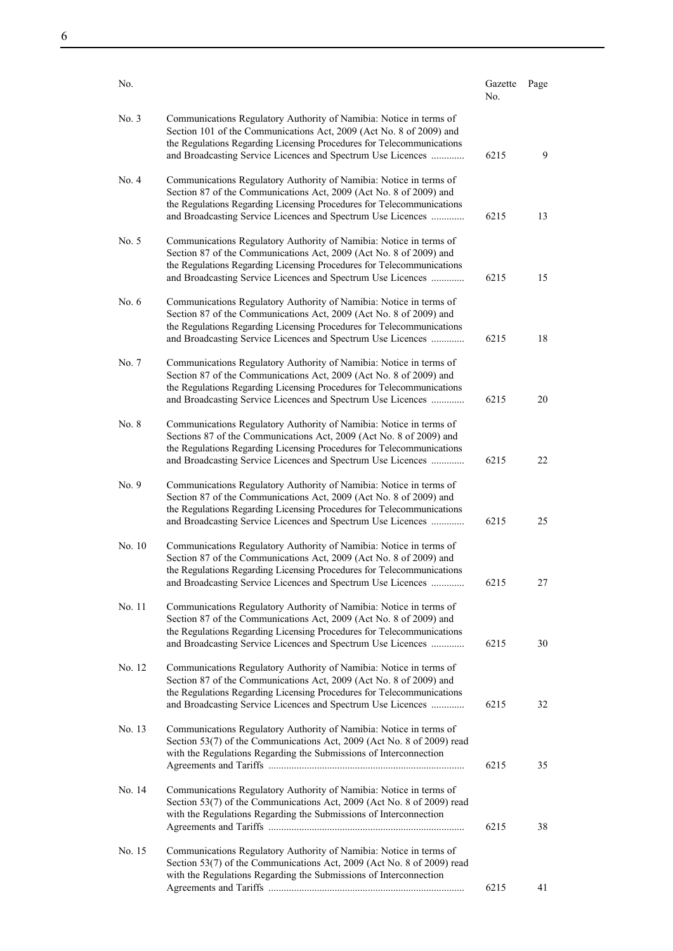| No.     |                                                                                                                                                                                                                                                                                   | Gazette<br>No. | Page |
|---------|-----------------------------------------------------------------------------------------------------------------------------------------------------------------------------------------------------------------------------------------------------------------------------------|----------------|------|
| No. 3   | Communications Regulatory Authority of Namibia: Notice in terms of<br>Section 101 of the Communications Act, 2009 (Act No. 8 of 2009) and<br>the Regulations Regarding Licensing Procedures for Telecommunications<br>and Broadcasting Service Licences and Spectrum Use Licences | 6215           | 9    |
| No. 4   | Communications Regulatory Authority of Namibia: Notice in terms of<br>Section 87 of the Communications Act, 2009 (Act No. 8 of 2009) and<br>the Regulations Regarding Licensing Procedures for Telecommunications<br>and Broadcasting Service Licences and Spectrum Use Licences  | 6215           | 13   |
| No. 5   | Communications Regulatory Authority of Namibia: Notice in terms of<br>Section 87 of the Communications Act, 2009 (Act No. 8 of 2009) and<br>the Regulations Regarding Licensing Procedures for Telecommunications<br>and Broadcasting Service Licences and Spectrum Use Licences  | 6215           | 15   |
| No. $6$ | Communications Regulatory Authority of Namibia: Notice in terms of<br>Section 87 of the Communications Act, 2009 (Act No. 8 of 2009) and<br>the Regulations Regarding Licensing Procedures for Telecommunications<br>and Broadcasting Service Licences and Spectrum Use Licences  | 6215           | 18   |
| No. 7   | Communications Regulatory Authority of Namibia: Notice in terms of<br>Section 87 of the Communications Act, 2009 (Act No. 8 of 2009) and<br>the Regulations Regarding Licensing Procedures for Telecommunications<br>and Broadcasting Service Licences and Spectrum Use Licences  | 6215           | 20   |
| No. 8   | Communications Regulatory Authority of Namibia: Notice in terms of<br>Sections 87 of the Communications Act, 2009 (Act No. 8 of 2009) and<br>the Regulations Regarding Licensing Procedures for Telecommunications<br>and Broadcasting Service Licences and Spectrum Use Licences | 6215           | 22   |
| No. 9   | Communications Regulatory Authority of Namibia: Notice in terms of<br>Section 87 of the Communications Act, 2009 (Act No. 8 of 2009) and<br>the Regulations Regarding Licensing Procedures for Telecommunications<br>and Broadcasting Service Licences and Spectrum Use Licences  | 6215           | 25   |
| No. 10  | Communications Regulatory Authority of Namibia: Notice in terms of<br>Section 87 of the Communications Act, 2009 (Act No. 8 of 2009) and<br>the Regulations Regarding Licensing Procedures for Telecommunications<br>and Broadcasting Service Licences and Spectrum Use Licences  | 6215           | 27   |
| No. 11  | Communications Regulatory Authority of Namibia: Notice in terms of<br>Section 87 of the Communications Act, 2009 (Act No. 8 of 2009) and<br>the Regulations Regarding Licensing Procedures for Telecommunications<br>and Broadcasting Service Licences and Spectrum Use Licences  | 6215           | 30   |
| No. 12  | Communications Regulatory Authority of Namibia: Notice in terms of<br>Section 87 of the Communications Act, 2009 (Act No. 8 of 2009) and<br>the Regulations Regarding Licensing Procedures for Telecommunications<br>and Broadcasting Service Licences and Spectrum Use Licences  | 6215           | 32   |
| No. 13  | Communications Regulatory Authority of Namibia: Notice in terms of<br>Section 53(7) of the Communications Act, 2009 (Act No. 8 of 2009) read<br>with the Regulations Regarding the Submissions of Interconnection                                                                 | 6215           | 35   |
| No. 14  | Communications Regulatory Authority of Namibia: Notice in terms of<br>Section 53(7) of the Communications Act, 2009 (Act No. 8 of 2009) read<br>with the Regulations Regarding the Submissions of Interconnection                                                                 | 6215           | 38   |
| No. 15  | Communications Regulatory Authority of Namibia: Notice in terms of<br>Section 53(7) of the Communications Act, 2009 (Act No. 8 of 2009) read<br>with the Regulations Regarding the Submissions of Interconnection                                                                 |                |      |
|         |                                                                                                                                                                                                                                                                                   | 6215           | 41   |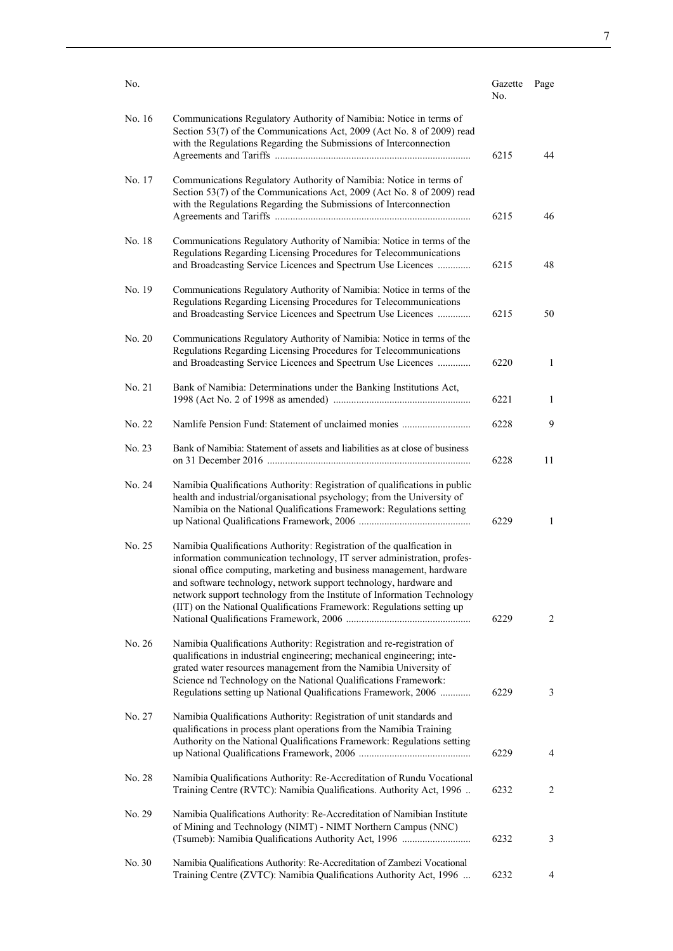| No.    |                                                                                                                                                                                                                                                                                                                                                                                                                                                    | Gazette<br>No. | Page                |
|--------|----------------------------------------------------------------------------------------------------------------------------------------------------------------------------------------------------------------------------------------------------------------------------------------------------------------------------------------------------------------------------------------------------------------------------------------------------|----------------|---------------------|
| No. 16 | Communications Regulatory Authority of Namibia: Notice in terms of<br>Section 53(7) of the Communications Act, 2009 (Act No. 8 of 2009) read<br>with the Regulations Regarding the Submissions of Interconnection                                                                                                                                                                                                                                  | 6215           | 44                  |
| No. 17 | Communications Regulatory Authority of Namibia: Notice in terms of<br>Section 53(7) of the Communications Act, 2009 (Act No. 8 of 2009) read<br>with the Regulations Regarding the Submissions of Interconnection                                                                                                                                                                                                                                  | 6215           | 46                  |
| No. 18 | Communications Regulatory Authority of Namibia: Notice in terms of the<br>Regulations Regarding Licensing Procedures for Telecommunications<br>and Broadcasting Service Licences and Spectrum Use Licences                                                                                                                                                                                                                                         | 6215           | 48                  |
| No. 19 | Communications Regulatory Authority of Namibia: Notice in terms of the<br>Regulations Regarding Licensing Procedures for Telecommunications<br>and Broadcasting Service Licences and Spectrum Use Licences                                                                                                                                                                                                                                         | 6215           | 50                  |
| No. 20 | Communications Regulatory Authority of Namibia: Notice in terms of the<br>Regulations Regarding Licensing Procedures for Telecommunications<br>and Broadcasting Service Licences and Spectrum Use Licences                                                                                                                                                                                                                                         | 6220           | $\mathbf{1}$        |
| No. 21 | Bank of Namibia: Determinations under the Banking Institutions Act,                                                                                                                                                                                                                                                                                                                                                                                | 6221           | $\mathbf{1}$        |
| No. 22 | Namlife Pension Fund: Statement of unclaimed monies                                                                                                                                                                                                                                                                                                                                                                                                | 6228           | 9                   |
| No. 23 | Bank of Namibia: Statement of assets and liabilities as at close of business                                                                                                                                                                                                                                                                                                                                                                       | 6228           | 11                  |
| No. 24 | Namibia Qualifications Authority: Registration of qualifications in public<br>health and industrial/organisational psychology; from the University of<br>Namibia on the National Qualifications Framework: Regulations setting                                                                                                                                                                                                                     | 6229           | $\mathbf{1}$        |
| No. 25 | Namibia Qualifications Authority: Registration of the qualfication in<br>information communication technology, IT server administration, profes-<br>sional office computing, marketing and business management, hardware<br>and software technology, network support technology, hardware and<br>network support technology from the Institute of Information Technology<br>(IIT) on the National Qualifications Framework: Regulations setting up | 6229           | 2                   |
| No. 26 | Namibia Qualifications Authority: Registration and re-registration of<br>qualifications in industrial engineering; mechanical engineering; inte-<br>grated water resources management from the Namibia University of<br>Science nd Technology on the National Qualifications Framework:                                                                                                                                                            |                |                     |
| No. 27 | Regulations setting up National Qualifications Framework, 2006<br>Namibia Qualifications Authority: Registration of unit standards and<br>qualifications in process plant operations from the Namibia Training<br>Authority on the National Qualifications Framework: Regulations setting                                                                                                                                                          | 6229<br>6229   | 3<br>$\overline{4}$ |
| No. 28 | Namibia Qualifications Authority: Re-Accreditation of Rundu Vocational<br>Training Centre (RVTC): Namibia Qualifications. Authority Act, 1996                                                                                                                                                                                                                                                                                                      | 6232           | 2                   |
| No. 29 | Namibia Qualifications Authority: Re-Accreditation of Namibian Institute<br>of Mining and Technology (NIMT) - NIMT Northern Campus (NNC)<br>(Tsumeb): Namibia Qualifications Authority Act, 1996                                                                                                                                                                                                                                                   | 6232           | 3                   |
| No. 30 | Namibia Qualifications Authority: Re-Accreditation of Zambezi Vocational<br>Training Centre (ZVTC): Namibia Qualifications Authority Act, 1996                                                                                                                                                                                                                                                                                                     | 6232           | 4                   |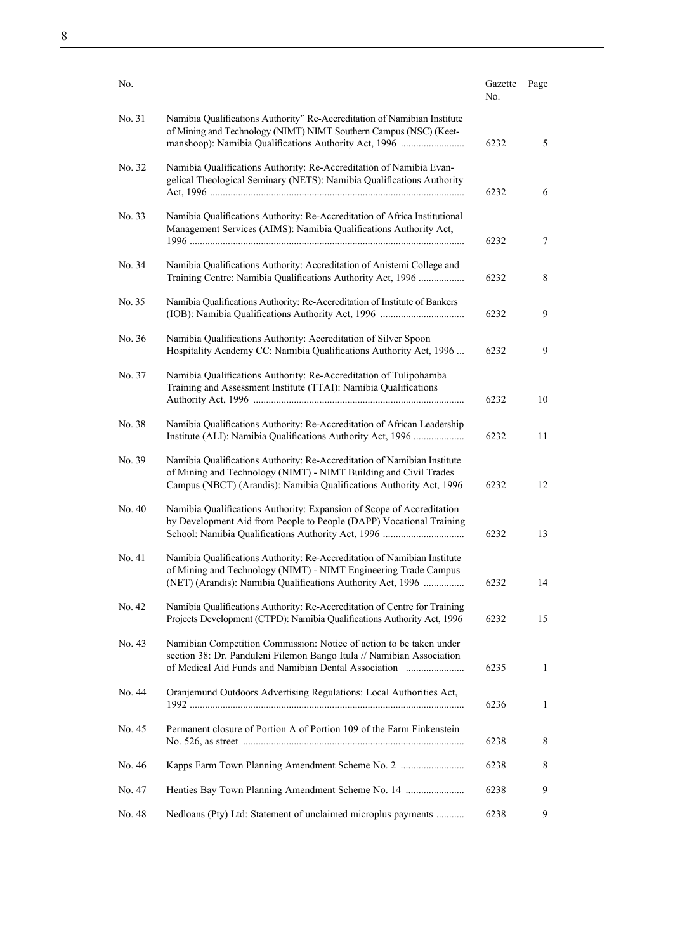| No.    |                                                                                                                                                                                                                     | Gazette<br>No. | Page   |
|--------|---------------------------------------------------------------------------------------------------------------------------------------------------------------------------------------------------------------------|----------------|--------|
| No. 31 | Namibia Qualifications Authority" Re-Accreditation of Namibian Institute<br>of Mining and Technology (NIMT) NIMT Southern Campus (NSC) (Keet-<br>manshoop): Namibia Qualifications Authority Act, 1996              | 6232           | 5      |
| No. 32 | Namibia Qualifications Authority: Re-Accreditation of Namibia Evan-<br>gelical Theological Seminary (NETS): Namibia Qualifications Authority                                                                        | 6232           | 6      |
| No. 33 | Namibia Qualifications Authority: Re-Accreditation of Africa Institutional<br>Management Services (AIMS): Namibia Qualifications Authority Act,                                                                     | 6232           | $\tau$ |
| No. 34 | Namibia Qualifications Authority: Accreditation of Anistemi College and<br>Training Centre: Namibia Qualifications Authority Act, 1996                                                                              | 6232           | 8      |
| No. 35 | Namibia Qualifications Authority: Re-Accreditation of Institute of Bankers                                                                                                                                          | 6232           | 9      |
| No. 36 | Namibia Qualifications Authority: Accreditation of Silver Spoon<br>Hospitality Academy CC: Namibia Qualifications Authority Act, 1996                                                                               | 6232           | 9      |
| No. 37 | Namibia Qualifications Authority: Re-Accreditation of Tulipohamba<br>Training and Assessment Institute (TTAI): Namibia Qualifications                                                                               | 6232           | 10     |
| No. 38 | Namibia Qualifications Authority: Re-Accreditation of African Leadership<br>Institute (ALI): Namibia Qualifications Authority Act, 1996                                                                             | 6232           | 11     |
| No. 39 | Namibia Qualifications Authority: Re-Accreditation of Namibian Institute<br>of Mining and Technology (NIMT) - NIMT Building and Civil Trades<br>Campus (NBCT) (Arandis): Namibia Qualifications Authority Act, 1996 | 6232           | 12     |
| No. 40 | Namibia Qualifications Authority: Expansion of Scope of Accreditation<br>by Development Aid from People to People (DAPP) Vocational Training                                                                        | 6232           | 13     |
| No. 41 | Namibia Qualifications Authority: Re-Accreditation of Namibian Institute<br>of Mining and Technology (NIMT) - NIMT Engineering Trade Campus<br>(NET) (Arandis): Namibia Qualifications Authority Act, 1996          | 6232           | 14     |
| No. 42 | Namibia Qualifications Authority: Re-Accreditation of Centre for Training<br>Projects Development (CTPD): Namibia Qualifications Authority Act, 1996                                                                | 6232           | 15     |
| No. 43 | Namibian Competition Commission: Notice of action to be taken under<br>section 38: Dr. Panduleni Filemon Bango Itula // Namibian Association<br>of Medical Aid Funds and Namibian Dental Association                | 6235           | 1      |
| No. 44 | Oranjemund Outdoors Advertising Regulations: Local Authorities Act,                                                                                                                                                 | 6236           | 1      |
| No. 45 | Permanent closure of Portion A of Portion 109 of the Farm Finkenstein                                                                                                                                               | 6238           | 8      |
| No. 46 |                                                                                                                                                                                                                     | 6238           | 8      |
| No. 47 | Henties Bay Town Planning Amendment Scheme No. 14                                                                                                                                                                   | 6238           | 9      |
| No. 48 | Nedloans (Pty) Ltd: Statement of unclaimed microplus payments                                                                                                                                                       | 6238           | 9      |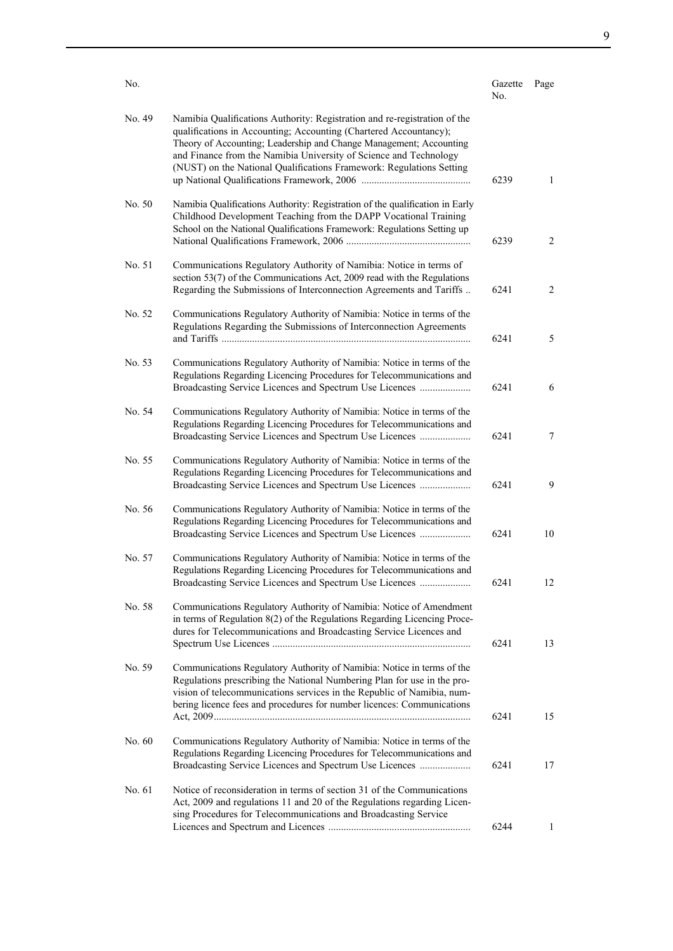| No.    |                                                                                                                                                                                                                                                                                                                                                                   | Gazette<br>No. | Page           |
|--------|-------------------------------------------------------------------------------------------------------------------------------------------------------------------------------------------------------------------------------------------------------------------------------------------------------------------------------------------------------------------|----------------|----------------|
| No. 49 | Namibia Qualifications Authority: Registration and re-registration of the<br>qualifications in Accounting; Accounting (Chartered Accountancy);<br>Theory of Accounting; Leadership and Change Management; Accounting<br>and Finance from the Namibia University of Science and Technology<br>(NUST) on the National Qualifications Framework: Regulations Setting | 6239           | $\mathbf{1}$   |
| No. 50 | Namibia Qualifications Authority: Registration of the qualification in Early<br>Childhood Development Teaching from the DAPP Vocational Training<br>School on the National Qualifications Framework: Regulations Setting up                                                                                                                                       | 6239           | $\overline{2}$ |
| No. 51 | Communications Regulatory Authority of Namibia: Notice in terms of<br>section 53(7) of the Communications Act, 2009 read with the Regulations<br>Regarding the Submissions of Interconnection Agreements and Tariffs                                                                                                                                              | 6241           | $\overline{c}$ |
| No. 52 | Communications Regulatory Authority of Namibia: Notice in terms of the<br>Regulations Regarding the Submissions of Interconnection Agreements                                                                                                                                                                                                                     | 6241           | 5              |
| No. 53 | Communications Regulatory Authority of Namibia: Notice in terms of the<br>Regulations Regarding Licencing Procedures for Telecommunications and<br>Broadcasting Service Licences and Spectrum Use Licences                                                                                                                                                        | 6241           | 6              |
| No. 54 | Communications Regulatory Authority of Namibia: Notice in terms of the<br>Regulations Regarding Licencing Procedures for Telecommunications and<br>Broadcasting Service Licences and Spectrum Use Licences                                                                                                                                                        | 6241           | $\tau$         |
| No. 55 | Communications Regulatory Authority of Namibia: Notice in terms of the<br>Regulations Regarding Licencing Procedures for Telecommunications and<br>Broadcasting Service Licences and Spectrum Use Licences                                                                                                                                                        | 6241           | 9              |
| No. 56 | Communications Regulatory Authority of Namibia: Notice in terms of the<br>Regulations Regarding Licencing Procedures for Telecommunications and<br>Broadcasting Service Licences and Spectrum Use Licences                                                                                                                                                        | 6241           | 10             |
| No. 57 | Communications Regulatory Authority of Namibia: Notice in terms of the<br>Regulations Regarding Licencing Procedures for Telecommunications and<br>Broadcasting Service Licences and Spectrum Use Licences                                                                                                                                                        | 6241           | 12             |
| No. 58 | Communications Regulatory Authority of Namibia: Notice of Amendment<br>in terms of Regulation 8(2) of the Regulations Regarding Licencing Proce-<br>dures for Telecommunications and Broadcasting Service Licences and                                                                                                                                            | 6241           | 13             |
| No. 59 | Communications Regulatory Authority of Namibia: Notice in terms of the<br>Regulations prescribing the National Numbering Plan for use in the pro-<br>vision of telecommunications services in the Republic of Namibia, num-<br>bering licence fees and procedures for number licences: Communications                                                             | 6241           | 15             |
| No. 60 | Communications Regulatory Authority of Namibia: Notice in terms of the<br>Regulations Regarding Licencing Procedures for Telecommunications and<br>Broadcasting Service Licences and Spectrum Use Licences                                                                                                                                                        | 6241           | 17             |
| No. 61 | Notice of reconsideration in terms of section 31 of the Communications<br>Act, 2009 and regulations 11 and 20 of the Regulations regarding Licen-<br>sing Procedures for Telecommunications and Broadcasting Service                                                                                                                                              | 6244           | $\mathbf{1}$   |
|        |                                                                                                                                                                                                                                                                                                                                                                   |                |                |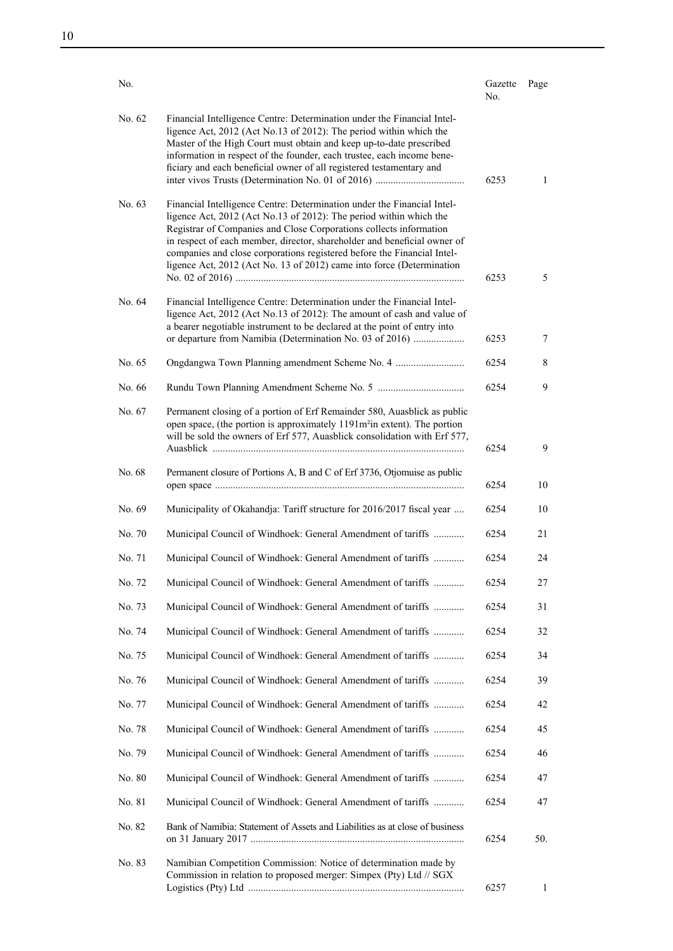| No.    |                                                                                                                                                                                                                                                                                                                                                                                                                                                     | Gazette<br>No. | Page |
|--------|-----------------------------------------------------------------------------------------------------------------------------------------------------------------------------------------------------------------------------------------------------------------------------------------------------------------------------------------------------------------------------------------------------------------------------------------------------|----------------|------|
| No. 62 | Financial Intelligence Centre: Determination under the Financial Intel-<br>ligence Act, 2012 (Act No.13 of 2012): The period within which the<br>Master of the High Court must obtain and keep up-to-date prescribed<br>information in respect of the founder, each trustee, each income bene-<br>ficiary and each beneficial owner of all registered testamentary and                                                                              | 6253           | 1    |
| No. 63 | Financial Intelligence Centre: Determination under the Financial Intel-<br>ligence Act, 2012 (Act No.13 of 2012): The period within which the<br>Registrar of Companies and Close Corporations collects information<br>in respect of each member, director, shareholder and beneficial owner of<br>companies and close corporations registered before the Financial Intel-<br>ligence Act, 2012 (Act No. 13 of 2012) came into force (Determination | 6253           | 5    |
| No. 64 | Financial Intelligence Centre: Determination under the Financial Intel-<br>ligence Act, 2012 (Act No.13 of 2012): The amount of cash and value of<br>a bearer negotiable instrument to be declared at the point of entry into<br>or departure from Namibia (Determination No. 03 of 2016)                                                                                                                                                           | 6253           | 7    |
| No. 65 |                                                                                                                                                                                                                                                                                                                                                                                                                                                     | 6254           | 8    |
| No. 66 |                                                                                                                                                                                                                                                                                                                                                                                                                                                     | 6254           | 9    |
| No. 67 | Permanent closing of a portion of Erf Remainder 580, Auasblick as public<br>open space, (the portion is approximately 1191m <sup>2</sup> in extent). The portion<br>will be sold the owners of Erf 577, Auasblick consolidation with Erf 577,                                                                                                                                                                                                       |                |      |
|        |                                                                                                                                                                                                                                                                                                                                                                                                                                                     | 6254           | 9    |
| No. 68 | Permanent closure of Portions A, B and C of Erf 3736, Otjomuise as public                                                                                                                                                                                                                                                                                                                                                                           | 6254           | 10   |
| No. 69 | Municipality of Okahandja: Tariff structure for 2016/2017 fiscal year                                                                                                                                                                                                                                                                                                                                                                               | 6254           | 10   |
| No. 70 | Municipal Council of Windhoek: General Amendment of tariffs                                                                                                                                                                                                                                                                                                                                                                                         | 6254           | 21   |
| No. 71 | Municipal Council of Windhoek: General Amendment of tariffs                                                                                                                                                                                                                                                                                                                                                                                         | 6254           | 24   |
| No. 72 | Municipal Council of Windhoek: General Amendment of tariffs                                                                                                                                                                                                                                                                                                                                                                                         | 6254           | 27   |
| No. 73 | Municipal Council of Windhoek: General Amendment of tariffs                                                                                                                                                                                                                                                                                                                                                                                         | 6254           | 31   |
| No. 74 | Municipal Council of Windhoek: General Amendment of tariffs                                                                                                                                                                                                                                                                                                                                                                                         | 6254           | 32   |
| No. 75 | Municipal Council of Windhoek: General Amendment of tariffs                                                                                                                                                                                                                                                                                                                                                                                         | 6254           | 34   |
| No. 76 | Municipal Council of Windhoek: General Amendment of tariffs                                                                                                                                                                                                                                                                                                                                                                                         | 6254           | 39   |
| No. 77 | Municipal Council of Windhoek: General Amendment of tariffs                                                                                                                                                                                                                                                                                                                                                                                         | 6254           | 42   |
| No. 78 | Municipal Council of Windhoek: General Amendment of tariffs                                                                                                                                                                                                                                                                                                                                                                                         | 6254           | 45   |
| No. 79 | Municipal Council of Windhoek: General Amendment of tariffs                                                                                                                                                                                                                                                                                                                                                                                         | 6254           | 46   |
| No. 80 | Municipal Council of Windhoek: General Amendment of tariffs                                                                                                                                                                                                                                                                                                                                                                                         | 6254           | 47   |
| No. 81 | Municipal Council of Windhoek: General Amendment of tariffs                                                                                                                                                                                                                                                                                                                                                                                         | 6254           | 47   |
| No. 82 | Bank of Namibia: Statement of Assets and Liabilities as at close of business                                                                                                                                                                                                                                                                                                                                                                        | 6254           | 50.  |
| No. 83 | Namibian Competition Commission: Notice of determination made by<br>Commission in relation to proposed merger: Simpex (Pty) Ltd // SGX                                                                                                                                                                                                                                                                                                              | 6257           | 1    |

10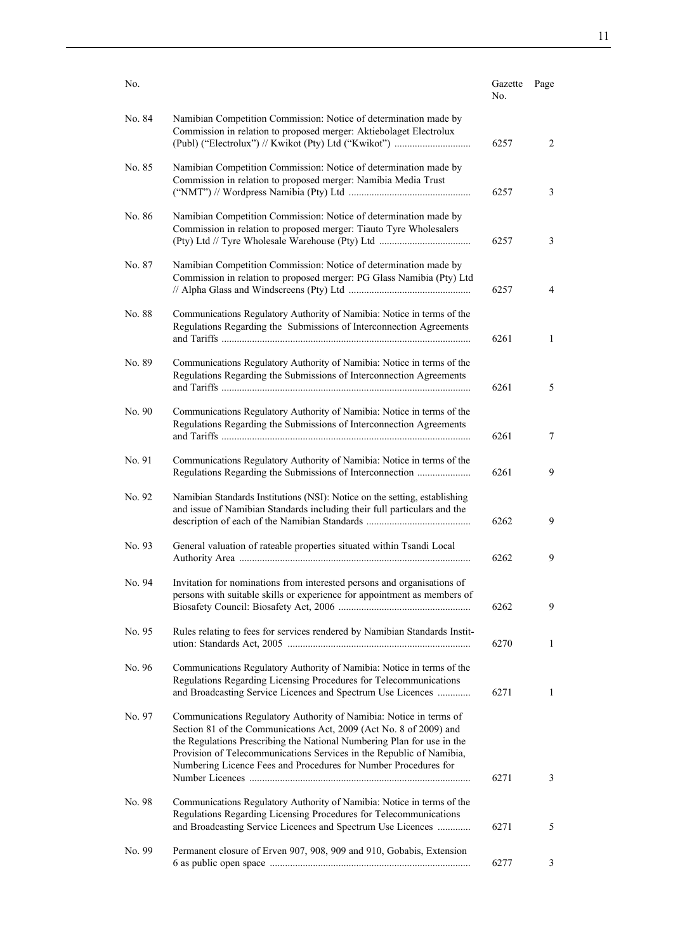| No.    |                                                                                                                                                                                                                                                                                                                                                               | Gazette<br>No. | Page         |
|--------|---------------------------------------------------------------------------------------------------------------------------------------------------------------------------------------------------------------------------------------------------------------------------------------------------------------------------------------------------------------|----------------|--------------|
| No. 84 | Namibian Competition Commission: Notice of determination made by<br>Commission in relation to proposed merger: Aktiebolaget Electrolux<br>(Publ) ("Electrolux") // Kwikot (Pty) Ltd ("Kwikot")                                                                                                                                                                | 6257           | 2            |
| No. 85 | Namibian Competition Commission: Notice of determination made by<br>Commission in relation to proposed merger: Namibia Media Trust                                                                                                                                                                                                                            | 6257           | 3            |
| No. 86 | Namibian Competition Commission: Notice of determination made by<br>Commission in relation to proposed merger: Tiauto Tyre Wholesalers                                                                                                                                                                                                                        | 6257           | 3            |
| No. 87 | Namibian Competition Commission: Notice of determination made by<br>Commission in relation to proposed merger: PG Glass Namibia (Pty) Ltd                                                                                                                                                                                                                     | 6257           | 4            |
| No. 88 | Communications Regulatory Authority of Namibia: Notice in terms of the<br>Regulations Regarding the Submissions of Interconnection Agreements                                                                                                                                                                                                                 | 6261           | $\mathbf{1}$ |
| No. 89 | Communications Regulatory Authority of Namibia: Notice in terms of the<br>Regulations Regarding the Submissions of Interconnection Agreements                                                                                                                                                                                                                 | 6261           | 5            |
| No. 90 | Communications Regulatory Authority of Namibia: Notice in terms of the<br>Regulations Regarding the Submissions of Interconnection Agreements                                                                                                                                                                                                                 | 6261           | 7            |
| No. 91 | Communications Regulatory Authority of Namibia: Notice in terms of the<br>Regulations Regarding the Submissions of Interconnection                                                                                                                                                                                                                            | 6261           | 9            |
| No. 92 | Namibian Standards Institutions (NSI): Notice on the setting, establishing<br>and issue of Namibian Standards including their full particulars and the                                                                                                                                                                                                        | 6262           | 9            |
| No. 93 | General valuation of rateable properties situated within Tsandi Local                                                                                                                                                                                                                                                                                         | 6262           | 9            |
| No. 94 | Invitation for nominations from interested persons and organisations of<br>persons with suitable skills or experience for appointment as members of                                                                                                                                                                                                           | 6262           | 9            |
| No. 95 | Rules relating to fees for services rendered by Namibian Standards Instit-                                                                                                                                                                                                                                                                                    | 6270           | 1            |
| No. 96 | Communications Regulatory Authority of Namibia: Notice in terms of the<br>Regulations Regarding Licensing Procedures for Telecommunications<br>and Broadcasting Service Licences and Spectrum Use Licences                                                                                                                                                    | 6271           | $\mathbf{1}$ |
| No. 97 | Communications Regulatory Authority of Namibia: Notice in terms of<br>Section 81 of the Communications Act, 2009 (Act No. 8 of 2009) and<br>the Regulations Prescribing the National Numbering Plan for use in the<br>Provision of Telecommunications Services in the Republic of Namibia,<br>Numbering Licence Fees and Procedures for Number Procedures for | 6271           | 3            |
| No. 98 | Communications Regulatory Authority of Namibia: Notice in terms of the<br>Regulations Regarding Licensing Procedures for Telecommunications                                                                                                                                                                                                                   |                |              |
| No. 99 | and Broadcasting Service Licences and Spectrum Use Licences<br>Permanent closure of Erven 907, 908, 909 and 910, Gobabis, Extension                                                                                                                                                                                                                           | 6271           | 5            |
|        |                                                                                                                                                                                                                                                                                                                                                               | 6277           | 3            |